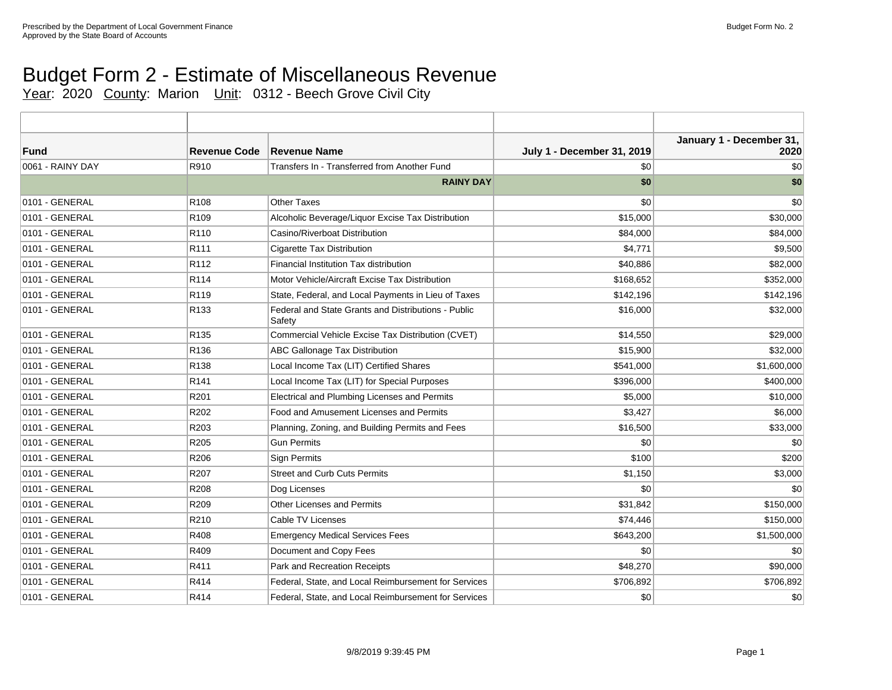## Budget Form 2 - Estimate of Miscellaneous Revenue

Year: 2020 County: Marion Unit: 0312 - Beech Grove Civil City

| Fund             | <b>Revenue Code</b> | <b>Revenue Name</b>                                           | <b>July 1 - December 31, 2019</b> | January 1 - December 31,<br>2020 |
|------------------|---------------------|---------------------------------------------------------------|-----------------------------------|----------------------------------|
| 0061 - RAINY DAY | R910                | Transfers In - Transferred from Another Fund                  | \$0                               | \$0                              |
|                  |                     | <b>RAINY DAY</b>                                              | \$0                               | \$0                              |
| 0101 - GENERAL   | R <sub>108</sub>    | <b>Other Taxes</b>                                            | \$0                               | \$0                              |
| 0101 - GENERAL   | R <sub>109</sub>    | Alcoholic Beverage/Liquor Excise Tax Distribution             | \$15,000                          | \$30,000                         |
| 0101 - GENERAL   | R110                | Casino/Riverboat Distribution                                 | \$84,000                          | \$84,000                         |
| 0101 - GENERAL   | R <sub>111</sub>    | Cigarette Tax Distribution                                    | \$4,771                           | \$9,500                          |
| 0101 - GENERAL   | R <sub>112</sub>    | Financial Institution Tax distribution                        | \$40,886                          | \$82,000                         |
| 0101 - GENERAL   | R <sub>114</sub>    | Motor Vehicle/Aircraft Excise Tax Distribution                | \$168,652                         | \$352,000                        |
| 0101 - GENERAL   | R <sub>119</sub>    | State, Federal, and Local Payments in Lieu of Taxes           | \$142,196                         | \$142,196                        |
| 0101 - GENERAL   | R <sub>133</sub>    | Federal and State Grants and Distributions - Public<br>Safety | \$16,000                          | \$32,000                         |
| 0101 - GENERAL   | R <sub>135</sub>    | Commercial Vehicle Excise Tax Distribution (CVET)             | \$14,550                          | \$29,000                         |
| 0101 - GENERAL   | R <sub>136</sub>    | ABC Gallonage Tax Distribution                                | \$15,900                          | \$32,000                         |
| 0101 - GENERAL   | R138                | Local Income Tax (LIT) Certified Shares                       | \$541,000                         | \$1,600,000                      |
| 0101 - GENERAL   | R141                | Local Income Tax (LIT) for Special Purposes                   | \$396,000                         | \$400,000                        |
| 0101 - GENERAL   | R201                | Electrical and Plumbing Licenses and Permits                  | \$5,000                           | \$10,000                         |
| 0101 - GENERAL   | R202                | Food and Amusement Licenses and Permits                       | \$3,427                           | \$6,000                          |
| 0101 - GENERAL   | R203                | Planning, Zoning, and Building Permits and Fees               | \$16,500                          | \$33,000                         |
| 0101 - GENERAL   | R205                | <b>Gun Permits</b>                                            | \$0                               | \$0                              |
| 0101 - GENERAL   | R206                | <b>Sign Permits</b>                                           | \$100                             | \$200                            |
| 0101 - GENERAL   | R207                | <b>Street and Curb Cuts Permits</b>                           | \$1,150                           | \$3,000                          |
| 0101 - GENERAL   | R208                | Dog Licenses                                                  | \$0                               | \$0                              |
| 0101 - GENERAL   | R209                | Other Licenses and Permits                                    | \$31,842                          | \$150,000                        |
| 0101 - GENERAL   | R210                | <b>Cable TV Licenses</b>                                      | \$74,446                          | \$150,000                        |
| 0101 - GENERAL   | R408                | <b>Emergency Medical Services Fees</b>                        | \$643,200                         | \$1,500,000                      |
| 0101 - GENERAL   | R409                | Document and Copy Fees                                        | \$0                               | \$0                              |
| 0101 - GENERAL   | R411                | Park and Recreation Receipts                                  | \$48,270                          | \$90,000                         |
| 0101 - GENERAL   | R414                | Federal, State, and Local Reimbursement for Services          | \$706,892                         | \$706,892                        |
| 0101 - GENERAL   | R414                | Federal, State, and Local Reimbursement for Services          | \$0                               | \$0                              |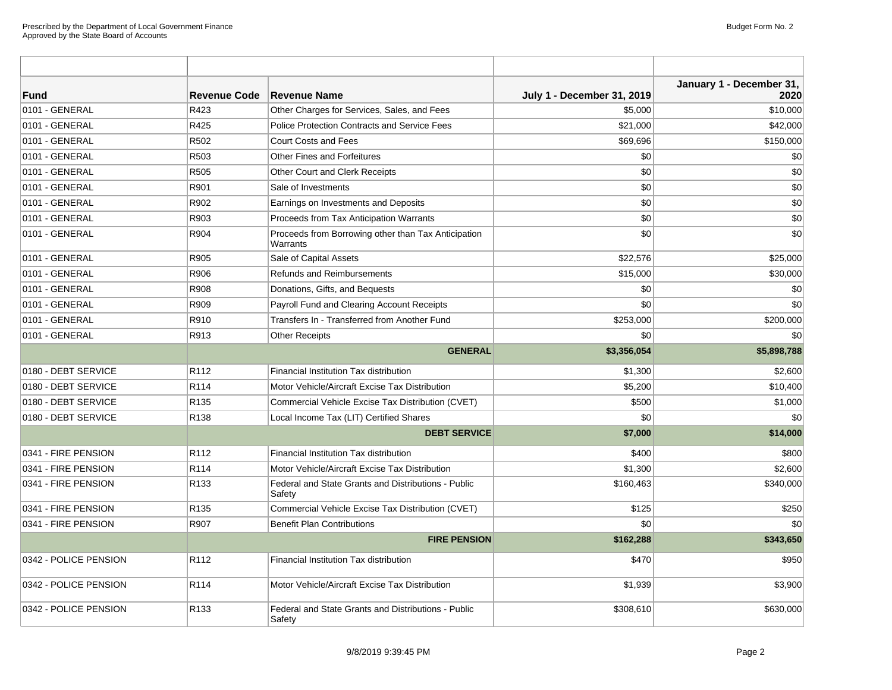| <b>Fund</b>           | <b>Revenue Code</b> | <b>Revenue Name</b>                                             | <b>July 1 - December 31, 2019</b> | January 1 - December 31,<br>2020 |
|-----------------------|---------------------|-----------------------------------------------------------------|-----------------------------------|----------------------------------|
| 0101 - GENERAL        | R423                | Other Charges for Services, Sales, and Fees                     | \$5,000                           | \$10,000                         |
| 0101 - GENERAL        | R425                | <b>Police Protection Contracts and Service Fees</b>             | \$21,000                          | \$42,000                         |
| 0101 - GENERAL        | R502                | <b>Court Costs and Fees</b>                                     | \$69,696                          | \$150,000                        |
| 0101 - GENERAL        | R <sub>503</sub>    | <b>Other Fines and Forfeitures</b>                              | \$0                               | \$0                              |
| 0101 - GENERAL        | R505                | Other Court and Clerk Receipts                                  | \$0                               | \$0                              |
| 0101 - GENERAL        | R901                | Sale of Investments                                             | \$0                               | \$0                              |
| 0101 - GENERAL        | R902                | Earnings on Investments and Deposits                            | \$0                               | \$0                              |
| 0101 - GENERAL        | R903                | Proceeds from Tax Anticipation Warrants                         | \$0                               | \$0                              |
| 0101 - GENERAL        | R904                | Proceeds from Borrowing other than Tax Anticipation<br>Warrants | \$0                               | \$0                              |
| 0101 - GENERAL        | R905                | Sale of Capital Assets                                          | \$22,576                          | \$25,000                         |
| 0101 - GENERAL        | R906                | Refunds and Reimbursements                                      | \$15,000                          | \$30,000                         |
| 0101 - GENERAL        | R908                | Donations, Gifts, and Bequests                                  | \$0                               | \$0                              |
| 0101 - GENERAL        | R909                | Payroll Fund and Clearing Account Receipts                      | \$0                               | \$0                              |
| 0101 - GENERAL        | R910                | Transfers In - Transferred from Another Fund                    | \$253,000                         | \$200,000                        |
| 0101 - GENERAL        | R913                | <b>Other Receipts</b>                                           | \$0                               | \$0                              |
|                       |                     | <b>GENERAL</b>                                                  | \$3,356,054                       | \$5,898,788                      |
| 0180 - DEBT SERVICE   | R <sub>112</sub>    | Financial Institution Tax distribution                          | \$1,300                           | \$2,600                          |
| 0180 - DEBT SERVICE   | R114                | Motor Vehicle/Aircraft Excise Tax Distribution                  | \$5,200                           | \$10,400                         |
| 0180 - DEBT SERVICE   | R <sub>135</sub>    | Commercial Vehicle Excise Tax Distribution (CVET)               | \$500                             | \$1,000                          |
| 0180 - DEBT SERVICE   | R <sub>138</sub>    | Local Income Tax (LIT) Certified Shares                         | \$0                               | \$0                              |
|                       |                     | <b>DEBT SERVICE</b>                                             | \$7,000                           | \$14,000                         |
| 0341 - FIRE PENSION   | R <sub>112</sub>    | Financial Institution Tax distribution                          | \$400                             | \$800                            |
| 0341 - FIRE PENSION   | R <sub>114</sub>    | Motor Vehicle/Aircraft Excise Tax Distribution                  | \$1,300                           | \$2,600                          |
| 0341 - FIRE PENSION   | R <sub>133</sub>    | Federal and State Grants and Distributions - Public<br>Safety   | \$160,463                         | \$340,000                        |
| 0341 - FIRE PENSION   | R <sub>135</sub>    | Commercial Vehicle Excise Tax Distribution (CVET)               | \$125                             | \$250                            |
| 0341 - FIRE PENSION   | R907                | <b>Benefit Plan Contributions</b>                               | \$0                               | \$0                              |
|                       |                     | <b>FIRE PENSION</b>                                             | \$162,288                         | \$343,650                        |
| 0342 - POLICE PENSION | R <sub>112</sub>    | Financial Institution Tax distribution                          | \$470                             | \$950                            |
| 0342 - POLICE PENSION | R <sub>114</sub>    | Motor Vehicle/Aircraft Excise Tax Distribution                  | \$1,939                           | \$3,900                          |
| 0342 - POLICE PENSION | R <sub>133</sub>    | Federal and State Grants and Distributions - Public<br>Safety   | \$308,610                         | \$630,000                        |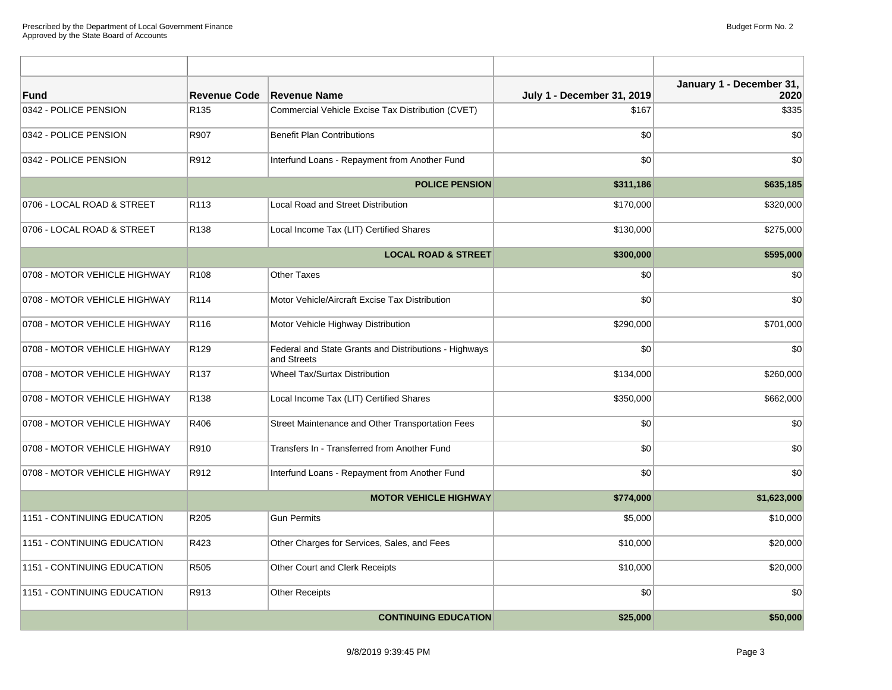| <b>Fund</b>                  | <b>Revenue Code</b> | <b>Revenue Name</b>                                                  | <b>July 1 - December 31, 2019</b> | January 1 - December 31,<br>2020 |
|------------------------------|---------------------|----------------------------------------------------------------------|-----------------------------------|----------------------------------|
| 0342 - POLICE PENSION        | R <sub>135</sub>    | Commercial Vehicle Excise Tax Distribution (CVET)                    | \$167                             | \$335                            |
| 0342 - POLICE PENSION        | R907                | <b>Benefit Plan Contributions</b>                                    | \$0                               | \$0                              |
| 0342 - POLICE PENSION        | R912                | Interfund Loans - Repayment from Another Fund                        | \$0                               | \$0                              |
|                              |                     | <b>POLICE PENSION</b>                                                | \$311,186                         | \$635,185                        |
| 0706 - LOCAL ROAD & STREET   | R <sub>113</sub>    | <b>Local Road and Street Distribution</b>                            | \$170,000                         | \$320,000                        |
| 0706 - LOCAL ROAD & STREET   | R138                | Local Income Tax (LIT) Certified Shares                              | \$130,000                         | \$275,000                        |
|                              |                     | <b>LOCAL ROAD &amp; STREET</b>                                       | \$300,000                         | \$595,000                        |
| 0708 - MOTOR VEHICLE HIGHWAY | R <sub>108</sub>    | <b>Other Taxes</b>                                                   | \$0                               | \$0                              |
| 0708 - MOTOR VEHICLE HIGHWAY | R <sub>114</sub>    | Motor Vehicle/Aircraft Excise Tax Distribution                       | \$0                               | \$0                              |
| 0708 - MOTOR VEHICLE HIGHWAY | R116                | Motor Vehicle Highway Distribution                                   | \$290,000                         | \$701,000                        |
| 0708 - MOTOR VEHICLE HIGHWAY | R <sub>129</sub>    | Federal and State Grants and Distributions - Highways<br>and Streets | \$0                               | \$0                              |
| 0708 - MOTOR VEHICLE HIGHWAY | R <sub>137</sub>    | Wheel Tax/Surtax Distribution                                        | \$134,000                         | \$260,000                        |
| 0708 - MOTOR VEHICLE HIGHWAY | R <sub>138</sub>    | Local Income Tax (LIT) Certified Shares                              | \$350,000                         | \$662,000                        |
| 0708 - MOTOR VEHICLE HIGHWAY | R406                | Street Maintenance and Other Transportation Fees                     | \$0                               | \$0                              |
| 0708 - MOTOR VEHICLE HIGHWAY | R910                | Transfers In - Transferred from Another Fund                         | \$0                               | \$0                              |
| 0708 - MOTOR VEHICLE HIGHWAY | R912                | Interfund Loans - Repayment from Another Fund                        | \$0                               | \$0                              |
|                              |                     | <b>MOTOR VEHICLE HIGHWAY</b>                                         | \$774,000                         | \$1,623,000                      |
| 1151 - CONTINUING EDUCATION  | R205                | <b>Gun Permits</b>                                                   | \$5,000                           | \$10,000                         |
| 1151 - CONTINUING EDUCATION  | R423                | Other Charges for Services, Sales, and Fees                          | \$10,000                          | \$20,000                         |
| 1151 - CONTINUING EDUCATION  | R505                | Other Court and Clerk Receipts                                       | \$10,000                          | \$20,000                         |
| 1151 - CONTINUING EDUCATION  | R913                | <b>Other Receipts</b>                                                | \$0                               | \$0                              |
|                              |                     | <b>CONTINUING EDUCATION</b>                                          | \$25,000                          | \$50,000                         |